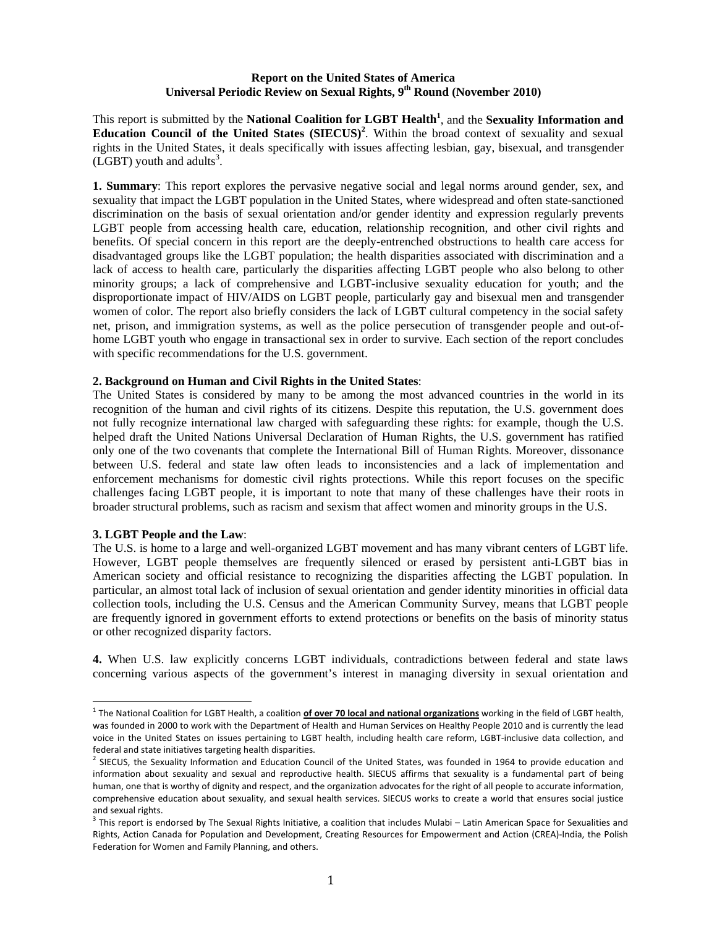## **Report on the United States of America Universal Periodic Review on Sexual Rights, 9th Round (November 2010)**

This report is submitted by the **National Coalition for LGBT Health<sup>1</sup>** , and the **Sexuality Information and**  Education Council of the United States (SIECUS)<sup>2</sup>. Within the broad context of sexuality and sexual rights in the United States, it deals specifically with issues affecting lesbian, gay, bisexual, and transgender  $(LGBT)$  youth and adults<sup>3</sup>.

**1. Summary**: This report explores the pervasive negative social and legal norms around gender, sex, and sexuality that impact the LGBT population in the United States, where widespread and often state-sanctioned discrimination on the basis of sexual orientation and/or gender identity and expression regularly prevents LGBT people from accessing health care, education, relationship recognition, and other civil rights and benefits. Of special concern in this report are the deeply-entrenched obstructions to health care access for disadvantaged groups like the LGBT population; the health disparities associated with discrimination and a lack of access to health care, particularly the disparities affecting LGBT people who also belong to other minority groups; a lack of comprehensive and LGBT-inclusive sexuality education for youth; and the disproportionate impact of HIV/AIDS on LGBT people, particularly gay and bisexual men and transgender women of color. The report also briefly considers the lack of LGBT cultural competency in the social safety net, prison, and immigration systems, as well as the police persecution of transgender people and out-ofhome LGBT youth who engage in transactional sex in order to survive. Each section of the report concludes with specific recommendations for the U.S. government.

#### **2. Background on Human and Civil Rights in the United States**:

The United States is considered by many to be among the most advanced countries in the world in its recognition of the human and civil rights of its citizens. Despite this reputation, the U.S. government does not fully recognize international law charged with safeguarding these rights: for example, though the U.S. helped draft the United Nations Universal Declaration of Human Rights, the U.S. government has ratified only one of the two covenants that complete the International Bill of Human Rights. Moreover, dissonance between U.S. federal and state law often leads to inconsistencies and a lack of implementation and enforcement mechanisms for domestic civil rights protections. While this report focuses on the specific challenges facing LGBT people, it is important to note that many of these challenges have their roots in broader structural problems, such as racism and sexism that affect women and minority groups in the U.S.

#### **3. LGBT People and the Law**:

The U.S. is home to a large and well-organized LGBT movement and has many vibrant centers of LGBT life. However, LGBT people themselves are frequently silenced or erased by persistent anti-LGBT bias in American society and official resistance to recognizing the disparities affecting the LGBT population. In particular, an almost total lack of inclusion of sexual orientation and gender identity minorities in official data collection tools, including the U.S. Census and the American Community Survey, means that LGBT people are frequently ignored in government efforts to extend protections or benefits on the basis of minority status or other recognized disparity factors.

**4.** When U.S. law explicitly concerns LGBT individuals, contradictions between federal and state laws concerning various aspects of the government's interest in managing diversity in sexual orientation and

<sup>1</sup> The National Coalition for LGBT Health, a coalition **of over 70 local and national organizations** working in the field of LGBT health, was founded in 2000 to work with the Department of Health and Human Services on Healthy People 2010 and is currently the lead voice in the United States on issues pertaining to LGBT health, including health care reform, LGBT‐inclusive data collection, and

federal and state initiatives targeting health disparities.<br><sup>2</sup> SIECUS, the Sexuality Information and Education Council of the United States, was founded in 1964 to provide education and information about sexuality and sexual and reproductive health. SIECUS affirms that sexuality is a fundamental part of being human, one that is worthy of dignity and respect, and the organization advocates for the right of all people to accurate information, comprehensive education about sexuality, and sexual health services. SIECUS works to create a world that ensures social justice and sexual rights.<br><sup>3</sup> This report is endorsed by The Sexual Rights Initiative, a coalition that includes Mulabi – Latin American Space for Sexualities and

Rights, Action Canada for Population and Development, Creating Resources for Empowerment and Action (CREA)‐India, the Polish Federation for Women and Family Planning, and others.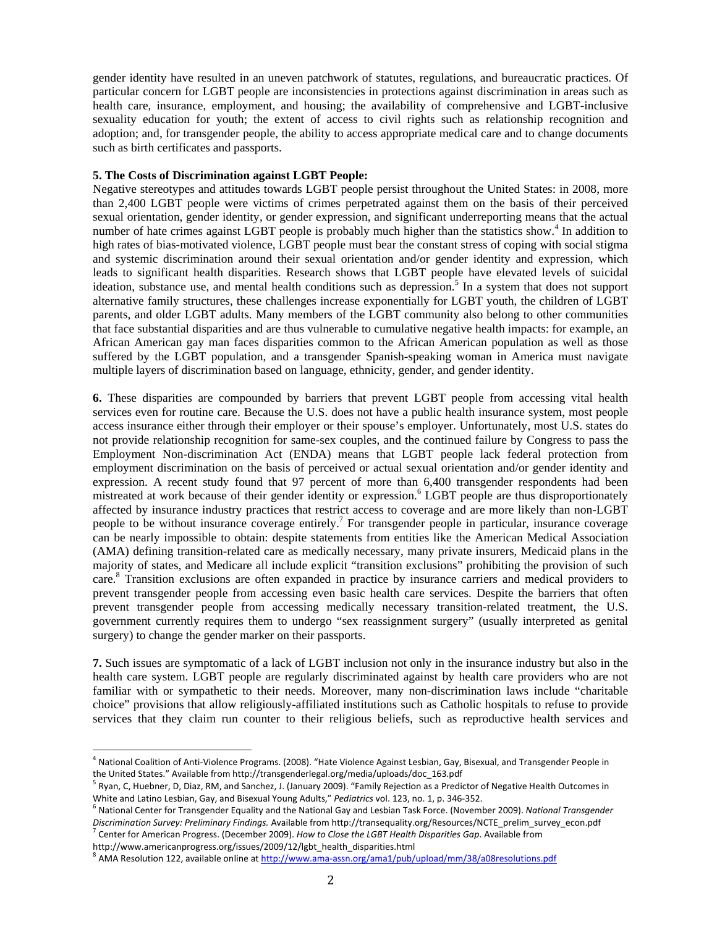gender identity have resulted in an uneven patchwork of statutes, regulations, and bureaucratic practices. Of particular concern for LGBT people are inconsistencies in protections against discrimination in areas such as health care, insurance, employment, and housing; the availability of comprehensive and LGBT-inclusive sexuality education for youth; the extent of access to civil rights such as relationship recognition and adoption; and, for transgender people, the ability to access appropriate medical care and to change documents such as birth certificates and passports.

#### **5. The Costs of Discrimination against LGBT People:**

Negative stereotypes and attitudes towards LGBT people persist throughout the United States: in 2008, more than 2,400 LGBT people were victims of crimes perpetrated against them on the basis of their perceived sexual orientation, gender identity, or gender expression, and significant underreporting means that the actual number of hate crimes against LGBT people is probably much higher than the statistics show.<sup>4</sup> In addition to high rates of bias-motivated violence, LGBT people must bear the constant stress of coping with social stigma and systemic discrimination around their sexual orientation and/or gender identity and expression, which leads to significant health disparities. Research shows that LGBT people have elevated levels of suicidal ideation, substance use, and mental health conditions such as depression.<sup>5</sup> In a system that does not support alternative family structures, these challenges increase exponentially for LGBT youth, the children of LGBT parents, and older LGBT adults. Many members of the LGBT community also belong to other communities that face substantial disparities and are thus vulnerable to cumulative negative health impacts: for example, an African American gay man faces disparities common to the African American population as well as those suffered by the LGBT population, and a transgender Spanish-speaking woman in America must navigate multiple layers of discrimination based on language, ethnicity, gender, and gender identity.

**6.** These disparities are compounded by barriers that prevent LGBT people from accessing vital health services even for routine care. Because the U.S. does not have a public health insurance system, most people access insurance either through their employer or their spouse's employer. Unfortunately, most U.S. states do not provide relationship recognition for same-sex couples, and the continued failure by Congress to pass the Employment Non-discrimination Act (ENDA) means that LGBT people lack federal protection from employment discrimination on the basis of perceived or actual sexual orientation and/or gender identity and expression. A recent study found that 97 percent of more than 6,400 transgender respondents had been mistreated at work because of their gender identity or expression.<sup>6</sup> LGBT people are thus disproportionately affected by insurance industry practices that restrict access to coverage and are more likely than non-LGBT people to be without insurance coverage entirely.<sup>7</sup> For transgender people in particular, insurance coverage can be nearly impossible to obtain: despite statements from entities like the American Medical Association (AMA) defining transition-related care as medically necessary, many private insurers, Medicaid plans in the majority of states, and Medicare all include explicit "transition exclusions" prohibiting the provision of such care.<sup>8</sup> Transition exclusions are often expanded in practice by insurance carriers and medical providers to prevent transgender people from accessing even basic health care services. Despite the barriers that often prevent transgender people from accessing medically necessary transition-related treatment, the U.S. government currently requires them to undergo "sex reassignment surgery" (usually interpreted as genital surgery) to change the gender marker on their passports.

**7.** Such issues are symptomatic of a lack of LGBT inclusion not only in the insurance industry but also in the health care system. LGBT people are regularly discriminated against by health care providers who are not familiar with or sympathetic to their needs. Moreover, many non-discrimination laws include "charitable choice" provisions that allow religiously-affiliated institutions such as Catholic hospitals to refuse to provide services that they claim run counter to their religious beliefs, such as reproductive health services and

<sup>4</sup> National Coalition of Anti‐Violence Programs. (2008). "Hate Violence Against Lesbian, Gay, Bisexual, and Transgender People in

the United States." Available from http://transgenderlegal.org/media/uploads/doc\_163.pdf<br><sup>5</sup> Ryan, C, Huebner, D, Diaz, RM, and Sanchez, J. (January 2009). "Family Rejection as a Predictor of Negative Health Outcomes in<br>Wh

<sup>&</sup>lt;sup>6</sup> National Center for Transgender Equality and the National Gay and Lesbian Task Force. (November 2009). National Transgender Discrimination Survey: Preliminary Findings. Available from http://transequality.org/Resources/NCTE\_prelim\_survey\_econ.pdf<br><sup>7</sup> Center for American Progress. (December 2009). How to Close the LGBT Health Disparities Gap. Av

http://www.americanprogress.org/issues/2009/12/lgbt\_health\_disparities.html<br><sup>8</sup> AMA Resolution 122, available online at <u>http://www.ama-assn.org/ama1/pub/upload/mm/38/a08resolutions.pdf</u>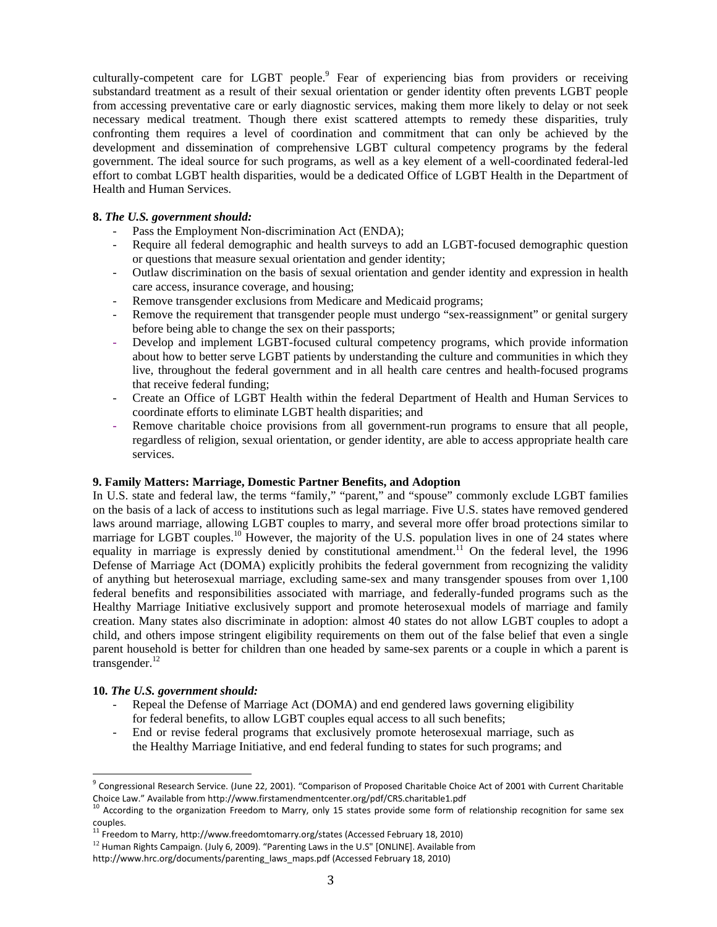culturally-competent care for LGBT people. $9$  Fear of experiencing bias from providers or receiving substandard treatment as a result of their sexual orientation or gender identity often prevents LGBT people from accessing preventative care or early diagnostic services, making them more likely to delay or not seek necessary medical treatment. Though there exist scattered attempts to remedy these disparities, truly confronting them requires a level of coordination and commitment that can only be achieved by the development and dissemination of comprehensive LGBT cultural competency programs by the federal government. The ideal source for such programs, as well as a key element of a well-coordinated federal-led effort to combat LGBT health disparities, would be a dedicated Office of LGBT Health in the Department of Health and Human Services.

## **8.** *The U.S. government should:*

- Pass the Employment Non-discrimination Act (ENDA);
- Require all federal demographic and health surveys to add an LGBT-focused demographic question or questions that measure sexual orientation and gender identity;
- Outlaw discrimination on the basis of sexual orientation and gender identity and expression in health care access, insurance coverage, and housing;
- Remove transgender exclusions from Medicare and Medicaid programs;
- Remove the requirement that transgender people must undergo "sex-reassignment" or genital surgery before being able to change the sex on their passports;
- Develop and implement LGBT-focused cultural competency programs, which provide information about how to better serve LGBT patients by understanding the culture and communities in which they live, throughout the federal government and in all health care centres and health-focused programs that receive federal funding;
- Create an Office of LGBT Health within the federal Department of Health and Human Services to coordinate efforts to eliminate LGBT health disparities; and
- Remove charitable choice provisions from all government-run programs to ensure that all people, regardless of religion, sexual orientation, or gender identity, are able to access appropriate health care services.

## **9. Family Matters: Marriage, Domestic Partner Benefits, and Adoption**

In U.S. state and federal law, the terms "family," "parent," and "spouse" commonly exclude LGBT families on the basis of a lack of access to institutions such as legal marriage. Five U.S. states have removed gendered laws around marriage, allowing LGBT couples to marry, and several more offer broad protections similar to marriage for LGBT couples.<sup>10</sup> However, the majority of the U.S. population lives in one of 24 states where equality in marriage is expressly denied by constitutional amendment.<sup>11</sup> On the federal level, the 1996 Defense of Marriage Act (DOMA) explicitly prohibits the federal government from recognizing the validity of anything but heterosexual marriage, excluding same-sex and many transgender spouses from over 1,100 federal benefits and responsibilities associated with marriage, and federally-funded programs such as the Healthy Marriage Initiative exclusively support and promote heterosexual models of marriage and family creation. Many states also discriminate in adoption: almost 40 states do not allow LGBT couples to adopt a child, and others impose stringent eligibility requirements on them out of the false belief that even a single parent household is better for children than one headed by same-sex parents or a couple in which a parent is transgender. $^{12}$ 

# **10.** *The U.S. government should:*

- Repeal the Defense of Marriage Act (DOMA) and end gendered laws governing eligibility for federal benefits, to allow LGBT couples equal access to all such benefits;
- End or revise federal programs that exclusively promote heterosexual marriage, such as the Healthy Marriage Initiative, and end federal funding to states for such programs; and

 $9$  Congressional Research Service. (June 22, 2001). "Comparison of Proposed Charitable Choice Act of 2001 with Current Charitable Choice Law." Available from http://www.firstamendmentcenter.org/pdf/CRS.charitable1.pdf<br><sup>10</sup> According to the organization Freedom to Marry, only 15 states provide some form of relationship recognition for same sex

couples.<br><sup>11</sup> Freedom to Marry, http://www.freedomtomarry.org/states (Accessed February 18, 2010)<br><sup>12</sup> Human Rights Campaign. (July 6, 2009). "Parenting Laws in the U.S" [ONLINE]. Available from

http://www.hrc.org/documents/parenting\_laws\_maps.pdf (Accessed February 18, 2010)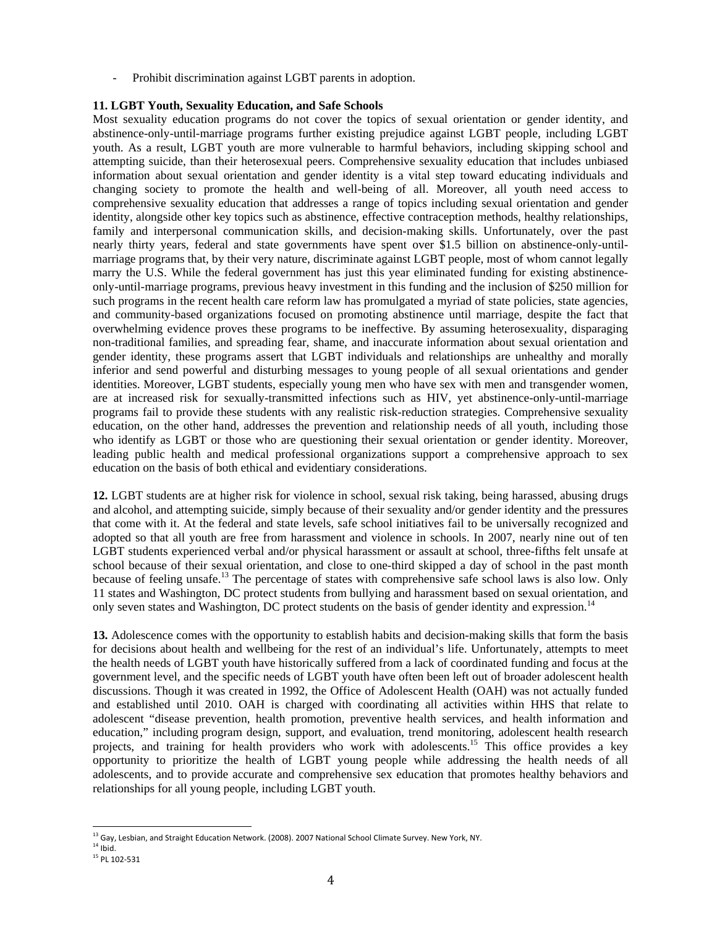Prohibit discrimination against LGBT parents in adoption.

### **11. LGBT Youth, Sexuality Education, and Safe Schools**

Most sexuality education programs do not cover the topics of sexual orientation or gender identity, and abstinence-only-until-marriage programs further existing prejudice against LGBT people, including LGBT youth. As a result, LGBT youth are more vulnerable to harmful behaviors, including skipping school and attempting suicide, than their heterosexual peers. Comprehensive sexuality education that includes unbiased information about sexual orientation and gender identity is a vital step toward educating individuals and changing society to promote the health and well-being of all. Moreover, all youth need access to comprehensive sexuality education that addresses a range of topics including sexual orientation and gender identity, alongside other key topics such as abstinence, effective contraception methods, healthy relationships, family and interpersonal communication skills, and decision-making skills. Unfortunately, over the past nearly thirty years, federal and state governments have spent over \$1.5 billion on abstinence-only-untilmarriage programs that, by their very nature, discriminate against LGBT people, most of whom cannot legally marry the U.S. While the federal government has just this year eliminated funding for existing abstinenceonly-until-marriage programs, previous heavy investment in this funding and the inclusion of \$250 million for such programs in the recent health care reform law has promulgated a myriad of state policies, state agencies, and community-based organizations focused on promoting abstinence until marriage, despite the fact that overwhelming evidence proves these programs to be ineffective. By assuming heterosexuality, disparaging non-traditional families, and spreading fear, shame, and inaccurate information about sexual orientation and gender identity, these programs assert that LGBT individuals and relationships are unhealthy and morally inferior and send powerful and disturbing messages to young people of all sexual orientations and gender identities. Moreover, LGBT students, especially young men who have sex with men and transgender women, are at increased risk for sexually-transmitted infections such as HIV, yet abstinence-only-until-marriage programs fail to provide these students with any realistic risk-reduction strategies. Comprehensive sexuality education, on the other hand, addresses the prevention and relationship needs of all youth, including those who identify as LGBT or those who are questioning their sexual orientation or gender identity. Moreover, leading public health and medical professional organizations support a comprehensive approach to sex education on the basis of both ethical and evidentiary considerations.

**12.** LGBT students are at higher risk for violence in school, sexual risk taking, being harassed, abusing drugs and alcohol, and attempting suicide, simply because of their sexuality and/or gender identity and the pressures that come with it. At the federal and state levels, safe school initiatives fail to be universally recognized and adopted so that all youth are free from harassment and violence in schools. In 2007, nearly nine out of ten LGBT students experienced verbal and/or physical harassment or assault at school, three-fifths felt unsafe at school because of their sexual orientation, and close to one-third skipped a day of school in the past month because of feeling unsafe.<sup>13</sup> The percentage of states with comprehensive safe school laws is also low. Only 11 states and Washington, DC protect students from bullying and harassment based on sexual orientation, and only seven states and Washington, DC protect students on the basis of gender identity and expression.<sup>14</sup>

**13.** Adolescence comes with the opportunity to establish habits and decision-making skills that form the basis for decisions about health and wellbeing for the rest of an individual's life. Unfortunately, attempts to meet the health needs of LGBT youth have historically suffered from a lack of coordinated funding and focus at the government level, and the specific needs of LGBT youth have often been left out of broader adolescent health discussions. Though it was created in 1992, the Office of Adolescent Health (OAH) was not actually funded and established until 2010. OAH is charged with coordinating all activities within HHS that relate to adolescent "disease prevention, health promotion, preventive health services, and health information and education," including program design, support, and evaluation, trend monitoring, adolescent health research projects, and training for health providers who work with adolescents.<sup>15</sup> This office provides a key opportunity to prioritize the health of LGBT young people while addressing the health needs of all adolescents, and to provide accurate and comprehensive sex education that promotes healthy behaviors and relationships for all young people, including LGBT youth.

 $^{13}$  Gay, Lesbian, and Straight Education Network. (2008). 2007 National School Climate Survey. New York, NY.

 $14$  Ibid.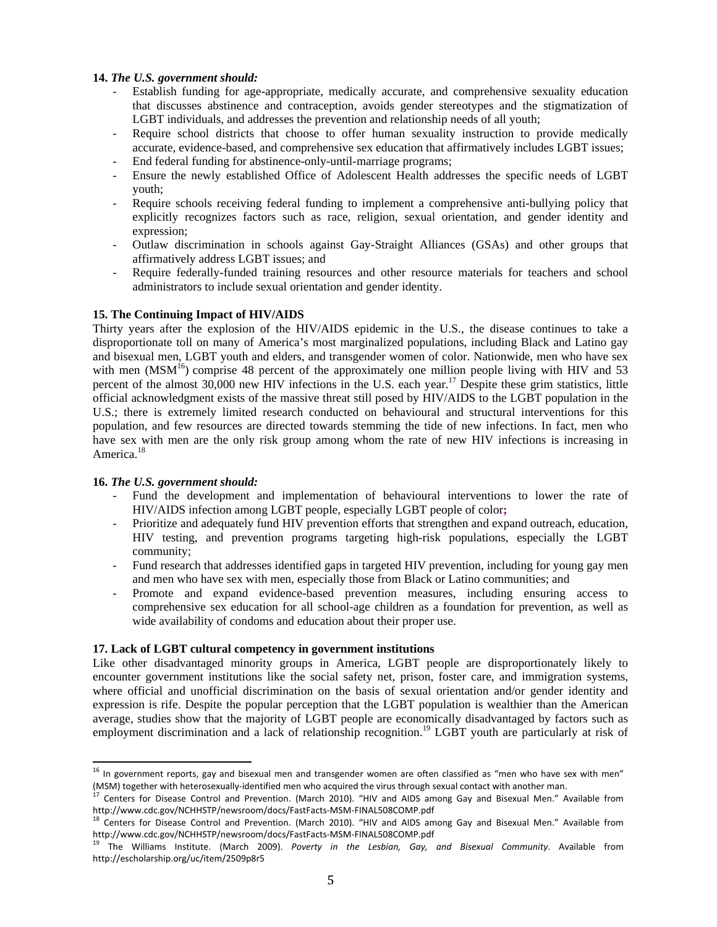## **14.** *The U.S. government should:*

- Establish funding for age-appropriate, medically accurate, and comprehensive sexuality education that discusses abstinence and contraception, avoids gender stereotypes and the stigmatization of LGBT individuals, and addresses the prevention and relationship needs of all youth;
- Require school districts that choose to offer human sexuality instruction to provide medically accurate, evidence-based, and comprehensive sex education that affirmatively includes LGBT issues;
- End federal funding for abstinence-only-until-marriage programs;
- Ensure the newly established Office of Adolescent Health addresses the specific needs of LGBT youth;
- Require schools receiving federal funding to implement a comprehensive anti-bullying policy that explicitly recognizes factors such as race, religion, sexual orientation, and gender identity and expression;
- Outlaw discrimination in schools against Gay-Straight Alliances (GSAs) and other groups that affirmatively address LGBT issues; and
- Require federally-funded training resources and other resource materials for teachers and school administrators to include sexual orientation and gender identity.

# **15. The Continuing Impact of HIV/AIDS**

Thirty years after the explosion of the HIV/AIDS epidemic in the U.S., the disease continues to take a disproportionate toll on many of America's most marginalized populations, including Black and Latino gay and bisexual men, LGBT youth and elders, and transgender women of color. Nationwide, men who have sex with men  $(MSM<sup>16</sup>)$  comprise 48 percent of the approximately one million people living with HIV and 53 percent of the almost 30,000 new HIV infections in the U.S. each year.<sup>17</sup> Despite these grim statistics, little official acknowledgment exists of the massive threat still posed by HIV/AIDS to the LGBT population in the U.S.; there is extremely limited research conducted on behavioural and structural interventions for this population, and few resources are directed towards stemming the tide of new infections. In fact, men who have sex with men are the only risk group among whom the rate of new HIV infections is increasing in America.<sup>18</sup>

## **16.** *The U.S. government should:*

- Fund the development and implementation of behavioural interventions to lower the rate of HIV/AIDS infection among LGBT people, especially LGBT people of color**;**
- Prioritize and adequately fund HIV prevention efforts that strengthen and expand outreach, education, HIV testing, and prevention programs targeting high-risk populations, especially the LGBT community;
- Fund research that addresses identified gaps in targeted HIV prevention, including for young gay men and men who have sex with men, especially those from Black or Latino communities; and
- Promote and expand evidence-based prevention measures, including ensuring access to comprehensive sex education for all school-age children as a foundation for prevention, as well as wide availability of condoms and education about their proper use.

## **17. Lack of LGBT cultural competency in government institutions**

Like other disadvantaged minority groups in America, LGBT people are disproportionately likely to encounter government institutions like the social safety net, prison, foster care, and immigration systems, where official and unofficial discrimination on the basis of sexual orientation and/or gender identity and expression is rife. Despite the popular perception that the LGBT population is wealthier than the American average, studies show that the majority of LGBT people are economically disadvantaged by factors such as employment discrimination and a lack of relationship recognition.<sup>19</sup> LGBT youth are particularly at risk of

 $^{16}$  In government reports, gay and bisexual men and transgender women are often classified as "men who have sex with men" (MSM) together with heterosexually-identified men who acquired the virus through sexual contact with another man.<br><sup>17</sup> Centers for Disease Control and Prevention. (March 2010). "HIV and AIDS among Gay and Bisexual Men." Av

http://www.cdc.gov/NCHHSTP/newsroom/docs/FastFacts-MSM-FINAL508COMP.pdf<br><sup>18</sup> Centers for Disease Control and Prevention. (March 2010). "HIV and AIDS among Gay and Bisexual Men." Available from http://www.cdc.gov/NCHHSTP/newsroom/docs/FastFacts-MSM-FINAL508COMP.pdf<br><sup>19</sup> The Williams Institute. (March 2009). Poverty in the Lesbian, Gay, and Bisexual Community. Available from

http://escholarship.org/uc/item/2509p8r5